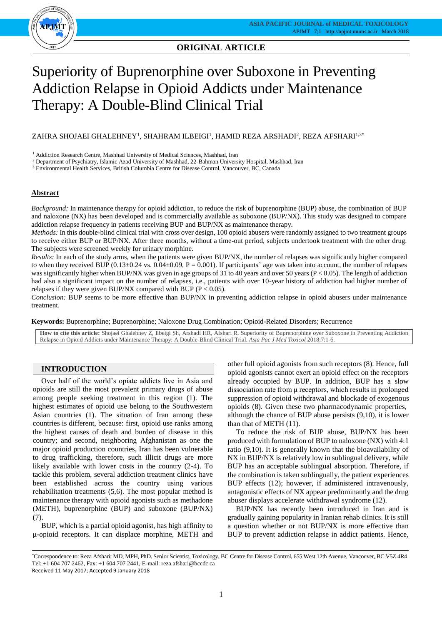

# **ORIGINAL ARTICLE**

# Superiority of Buprenorphine over Suboxone in Preventing Addiction Relapse in Opioid Addicts under Maintenance Therapy: A Double-Blind Clinical Trial

# ZAHRA SHOJAEI GHALEHNEY $^{\rm l}$ , SHAHRAM ILBEIGI $^{\rm l}$ , HAMID REZA ARSHADI $^{\rm 2}$ , REZA AFSHARI $^{\rm l}$ , $^{\rm 3*}$

 $^{\rm 1}$  Addiction Research Centre, Mashhad University of Medical Sciences, Mashhad, Iran

<sup>2</sup> Department of Psychiatry, Islamic Azad University of Mashhad, 22-Bahman University Hospital, Mashhad, Iran

<sup>3</sup> Environmental Health Services, British Columbia Centre for Disease Control, Vancouver, BC, Canada

# **Abstract**

*Background:* In maintenance therapy for opioid addiction, to reduce the risk of buprenorphine (BUP) abuse, the combination of BUP and naloxone (NX) has been developed and is commercially available as suboxone (BUP/NX). This study was designed to compare addiction relapse frequency in patients receiving BUP and BUP/NX as maintenance therapy.

*Methods:* In this double-blind clinical trial with cross over design, 100 opioid abusers were randomly assigned to two treatment groups to receive either BUP or BUP/NX. After three months, without a time-out period, subjects undertook treatment with the other drug. The subjects were screened weekly for urinary morphine.

*Results:* In each of the study arms, when the patients were given BUP/NX, the number of relapses was significantly higher compared to when they received BUP ( $0.13\pm0.24$  vs.  $0.04\pm0.09$ , P = 0.001). If participants' age was taken into account, the number of relapses was significantly higher when BUP/NX was given in age groups of 31 to 40 years and over 50 years (P < 0.05). The length of addiction had also a significant impact on the number of relapses, i.e., patients with over 10-year history of addiction had higher number of relapses if they were given BUP/NX compared with BUP ( $P < 0.05$ ).

*Conclusion:* BUP seems to be more effective than BUP/NX in preventing addiction relapse in opioid abusers under maintenance treatment.

**Keywords:** Buprenorphine; Buprenorphine; Naloxone Drug Combination; Opioid-Related Disorders; Recurrence

**How to cite this article:** Shojaei Ghalehney Z, Ilbeigi Sh, Arshadi HR, Afshari R. Superiority of Buprenorphine over Suboxone in Preventing Addiction Relapse in Opioid Addicts under Maintenance Therapy: A Double-Blind Clinical Trial. *Asia Pac J Med Toxicol* 2018;7:1-6.

# **INTRODUCTION**

Over half of the world's opiate addicts live in Asia and opioids are still the most prevalent primary drugs of abuse among people seeking treatment in this region (1). The highest estimates of opioid use belong to the Southwestern Asian countries (1). The situation of Iran among these countries is different, because: first, opioid use ranks among the highest causes of death and burden of disease in this country; and second, neighboring Afghanistan as one the major opioid production countries, Iran has been vulnerable to drug trafficking, therefore, such illicit drugs are more likely available with lower costs in the country (2-4). To tackle this problem, several addiction treatment clinics have been established across the country using various rehabilitation treatments (5,6). The most popular method is maintenance therapy with opioid agonists such as methadone (METH), buprenorphine (BUP) and suboxone (BUP/NX) (7).

BUP, which is a partial opioid agonist, has high affinity to μ-opioid receptors. It can displace morphine, METH and

other full opioid agonists from such receptors (8). Hence, full opioid agonists cannot exert an opioid effect on the receptors already occupied by BUP. In addition, BUP has a slow dissociation rate from μ receptors, which results in prolonged suppression of opioid withdrawal and blockade of exogenous opioids (8). Given these two pharmacodynamic properties, although the chance of BUP abuse persists (9,10), it is lower than that of METH (11).

To reduce the risk of BUP abuse, BUP/NX has been produced with formulation of BUP to naloxone (NX) with 4:1 ratio (9,10). It is generally known that the bioavailability of NX in BUP/NX is relatively low in sublingual delivery, while BUP has an acceptable sublingual absorption. Therefore, if the combination is taken sublingually, the patient experiences BUP effects (12); however, if administered intravenously, antagonistic effects of NX appear predominantly and the drug abuser displays accelerate withdrawal syndrome (12).

BUP/NX has recently been introduced in Iran and is gradually gaining popularity in Iranian rehab clinics. It is still a question whether or not BUP/NX is more effective than BUP to prevent addiction relapse in addict patients. Hence,

<sup>\*</sup>Correspondence to: Reza Afshari; MD, MPH, PhD. Senior Scientist, Toxicology, BC Centre for Disease Control, 655 West 12th Avenue, Vancouver, BC V5Z 4R4 Tel: +1 604 707 2462, Fax: +1 604 707 2441, E-mail: reza.afshari@bccdc.ca Received 11 May 2017; Accepted 9 January 2018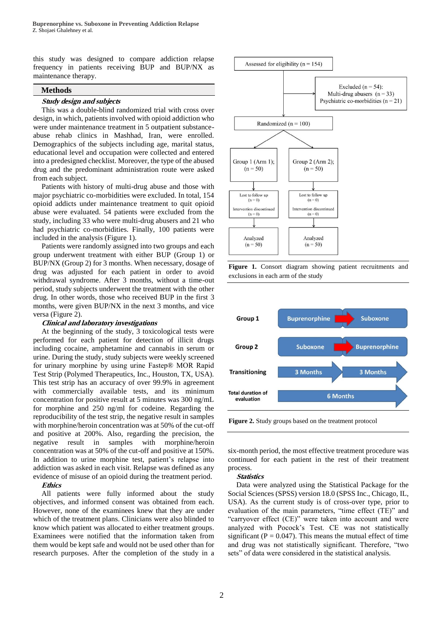this study was designed to compare addiction relapse frequency in patients receiving BUP and BUP/NX as maintenance therapy.

### **Methods**

### **Study design and subjects**

This was a double-blind randomized trial with cross over design, in which, patients involved with opioid addiction who were under maintenance treatment in 5 outpatient substanceabuse rehab clinics in Mashhad, Iran, were enrolled. Demographics of the subjects including age, marital status, educational level and occupation were collected and entered into a predesigned checklist. Moreover, the type of the abused drug and the predominant administration route were asked from each subject.

Patients with history of multi-drug abuse and those with major psychiatric co-morbidities were excluded. In total, 154 opioid addicts under maintenance treatment to quit opioid abuse were evaluated. 54 patients were excluded from the study, including 33 who were multi-drug abusers and 21 who had psychiatric co-morbidities. Finally, 100 patients were included in the analysis (Figure 1).

Patients were randomly assigned into two groups and each group underwent treatment with either BUP (Group 1) or BUP/NX (Group 2) for 3 months. When necessary, dosage of drug was adjusted for each patient in order to avoid withdrawal syndrome. After 3 months, without a time-out period, study subjects underwent the treatment with the other drug. In other words, those who received BUP in the first 3 months, were given BUP/NX in the next 3 months, and vice versa (Figure 2).

#### **Clinical and laboratory investigations**

At the beginning of the study, 3 toxicological tests were performed for each patient for detection of illicit drugs including cocaine, amphetamine and cannabis in serum or urine. During the study, study subjects were weekly screened for urinary morphine by using urine Fastep® MOR Rapid Test Strip (Polymed Therapeutics, Inc., Houston, TX, USA). This test strip has an accuracy of over 99.9% in agreement with commercially available tests, and its minimum concentration for positive result at 5 minutes was 300 ng/mL for morphine and 250 ng/ml for codeine. Regarding the reproducibility of the test strip, the negative result in samples with morphine/heroin concentration was at 50% of the cut-off and positive at 200%. Also, regarding the precision, the negative result in samples with morphine/heroin concentration was at 50% of the cut-off and positive at 150%. In addition to urine morphine test, patient's relapse into addiction was asked in each visit. Relapse was defined as any evidence of misuse of an opioid during the treatment period.

### **Ethics**

All patients were fully informed about the study objectives, and informed consent was obtained from each. However, none of the examinees knew that they are under which of the treatment plans. Clinicians were also blinded to know which patient was allocated to either treatment groups. Examinees were notified that the information taken from them would be kept safe and would not be used other than for research purposes. After the completion of the study in a







**Figure 2.** Study groups based on the treatment protocol

six-month period, the most effective treatment procedure was continued for each patient in the rest of their treatment process.

#### **Statistics**

Data were analyzed using the Statistical Package for the Social Sciences (SPSS) version 18.0 (SPSS Inc., Chicago, IL, USA). As the current study is of cross-over type, prior to evaluation of the main parameters, "time effect (TE)" and "carryover effect (CE)" were taken into account and were analyzed with Pocock's Test. CE was not statistically significant ( $P = 0.047$ ). This means the mutual effect of time and drug was not statistically significant. Therefore, "two sets" of data were considered in the statistical analysis.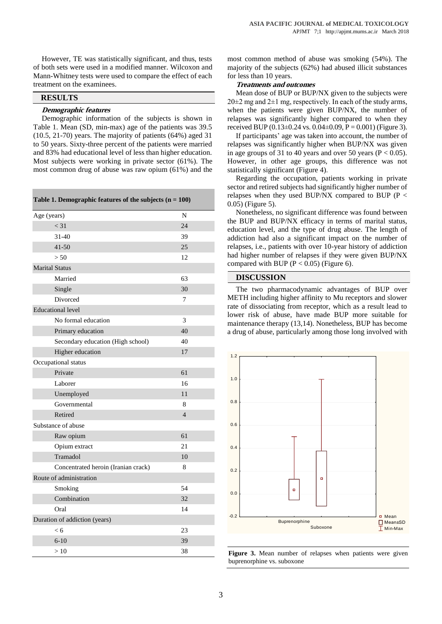However, TE was statistically significant, and thus, tests of both sets were used in a modified manner. Wilcoxon and Mann-Whitney tests were used to compare the effect of each treatment on the examinees.

# **RESULTS**

## **Demographic features**

Demographic information of the subjects is shown in Table 1. Mean (SD, min-max) age of the patients was 39.5 (10.5, 21-70) years. The majority of patients (64%) aged 31 to 50 years. Sixty-three percent of the patients were married and 83% had educational level of less than higher education. Most subjects were working in private sector (61%). The most common drug of abuse was raw opium (61%) and the

**Table 1. Demographic features of the subjects (n = 100)**

| Age (years)                         | N              |
|-------------------------------------|----------------|
| < 31                                | 24             |
| $31-40$                             | 39             |
| 41-50                               | 25             |
| > 50                                | 12             |
| <b>Marital Status</b>               |                |
| Married                             | 63             |
| Single                              | 30             |
| Divorced                            | 7              |
| <b>Educational level</b>            |                |
| No formal education                 | 3              |
| Primary education                   | 40             |
| Secondary education (High school)   | 40             |
| Higher education                    | 17             |
| Occupational status                 |                |
| Private                             | 61             |
| Laborer                             | 16             |
| Unemployed                          | 11             |
| Governmental                        | 8              |
| Retired                             | $\overline{4}$ |
| Substance of abuse                  |                |
| Raw opium                           | 61             |
| Opium extract                       | 21             |
| Tramadol                            | 10             |
| Concentrated heroin (Iranian crack) | 8              |
| Route of administration             |                |
| Smoking                             | 54             |
| Combination                         | 32             |
| Oral                                | 14             |
| Duration of addiction (years)       |                |
| < 6                                 | 23             |
| $6 - 10$                            | 39             |
| >10                                 | 38             |

most common method of abuse was smoking (54%). The majority of the subjects (62%) had abused illicit substances for less than 10 years.

#### **Treatments and outcomes**

Mean dose of BUP or BUP/NX given to the subjects were  $20\pm2$  mg and  $2\pm1$  mg, respectively. In each of the study arms, when the patients were given BUP/NX, the number of relapses was significantly higher compared to when they received BUP  $(0.13\pm0.24 \text{ vs. } 0.04\pm0.09, P = 0.001)$  (Figure 3).

If participants' age was taken into account, the number of relapses was significantly higher when BUP/NX was given in age groups of 31 to 40 years and over 50 years ( $P < 0.05$ ). However, in other age groups, this difference was not statistically significant (Figure 4).

Regarding the occupation, patients working in private sector and retired subjects had significantly higher number of relapses when they used BUP/NX compared to BUP ( $P <$ 0.05) (Figure 5).

Nonetheless, no significant difference was found between the BUP and BUP/NX efficacy in terms of marital status, education level, and the type of drug abuse. The length of addiction had also a significant impact on the number of relapses, i.e., patients with over 10-year history of addiction had higher number of relapses if they were given BUP/NX compared with BUP ( $P < 0.05$ ) (Figure 6).

## **DISCUSSION**

The two pharmacodynamic advantages of BUP over METH including higher affinity to Mu receptors and slower rate of dissociating from receptor, which as a result lead to lower risk of abuse, have made BUP more suitable for maintenance therapy (13,14). Nonetheless, BUP has become a drug of abuse, particularly among those long involved with



**Figure 3.** Mean number of relapses when patients were given buprenorphine vs. suboxone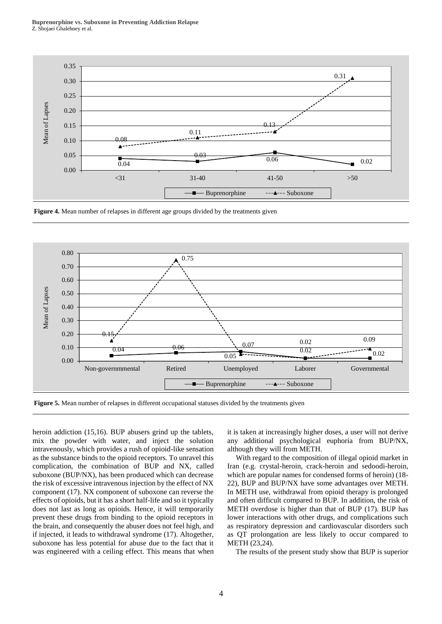

**Figure 4.** Mean number of relapses in different age groups divided by the treatments given



**Figure 5.** Mean number of relapses in different occupational statuses divided by the treatments given

heroin addiction (15,16). BUP abusers grind up the tablets, mix the powder with water, and inject the solution intravenously, which provides a rush of opioid-like sensation as the substance binds to the opioid receptors. To unravel this complication, the combination of BUP and NX, called suboxone (BUP/NX), has been produced which can decrease the risk of excessive intravenous injection by the effect of NX component (17). NX component of suboxone can reverse the effects of opioids, but it has a short half-life and so it typically does not last as long as opioids. Hence, it will temporarily prevent these drugs from binding to the opioid receptors in the brain, and consequently the abuser does not feel high, and if injected, it leads to withdrawal syndrome (17). Altogether, suboxone has less potential for abuse due to the fact that it was engineered with a ceiling effect. This means that when it is taken at increasingly higher doses, a user will not derive any additional psychological euphoria from BUP/NX, although they will from METH.

With regard to the composition of illegal opioid market in Iran (e.g. crystal-heroin, crack-heroin and sedoodi-heroin, which are popular names for condensed forms of heroin) (18- 22), BUP and BUP/NX have some advantages over METH. In METH use, withdrawal from opioid therapy is prolonged and often difficult compared to BUP. In addition, the risk of METH overdose is higher than that of BUP (17). BUP has lower interactions with other drugs, and complications such as respiratory depression and cardiovascular disorders such as QT prolongation are less likely to occur compared to METH (23,24).

The results of the present study show that BUP is superior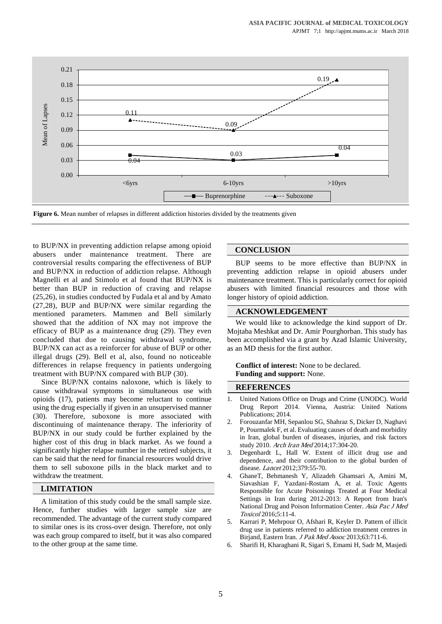![](_page_4_Figure_1.jpeg)

**Figure 6.** Mean number of relapses in different addiction histories divided by the treatments given

to BUP/NX in preventing addiction relapse among opioid abusers under maintenance treatment. There are controversial results comparing the effectiveness of BUP and BUP/NX in reduction of addiction relapse. Although Magnelli et al and Stimolo et al found that BUP/NX is better than BUP in reduction of craving and relapse (25,26), in studies conducted by Fudala et al and by Amato (27,28), BUP and BUP/NX were similar regarding the mentioned parameters. Mammen and Bell similarly showed that the addition of NX may not improve the efficacy of BUP as a maintenance drug (29). They even concluded that due to causing withdrawal syndrome, BUP/NX can act as a reinforcer for abuse of BUP or other illegal drugs (29). Bell et al, also, found no noticeable differences in relapse frequency in patients undergoing treatment with BUP/NX compared with BUP (30).

Since BUP/NX contains naloxone, which is likely to cause withdrawal symptoms in simultaneous use with opioids (17), patients may become reluctant to continue using the drug especially if given in an unsupervised manner (30). Therefore, suboxone is more associated with discontinuing of maintenance therapy. The inferiority of BUP/NX in our study could be further explained by the higher cost of this drug in black market. As we found a significantly higher relapse number in the retired subjects, it can be said that the need for financial resources would drive them to sell suboxone pills in the black market and to withdraw the treatment.

# **LIMITATION**

A limitation of this study could be the small sample size. Hence, further studies with larger sample size are recommended. The advantage of the current study compared to similar ones is its cross-over design. Therefore, not only was each group compared to itself, but it was also compared to the other group at the same time.

# **CONCLUSION**

BUP seems to be more effective than BUP/NX in preventing addiction relapse in opioid abusers under maintenance treatment. This is particularly correct for opioid abusers with limited financial resources and those with longer history of opioid addiction.

## **ACKNOWLEDGEMENT**

We would like to acknowledge the kind support of Dr. Mojtaba Meshkat and Dr. Amir Pourghorban. This study has been accomplished via a grant by Azad Islamic University, as an MD thesis for the first author.

#### **Conflict of interest:** None to be declared. **Funding and support:** None.

### **REFERENCES**

- 1. United Nations Office on Drugs and Crime (UNODC). World Drug Report 2014. Vienna, Austria: United Nations Publications; 2014.
- 2. Forouzanfar MH, Sepanlou SG, Shahraz S, Dicker D, Naghavi P, Pourmalek F, et al. Evaluating causes of death and morbidity in Iran, global burden of diseases, injuries, and risk factors study 2010. Arch Iran Med 2014;17:304-20.
- Degenhardt L, Hall W. Extent of illicit drug use and dependence, and their contribution to the global burden of disease. Lancet 2012;379:55-70.
- 4. GhaneT, Behmanesh Y, Alizadeh Ghamsari A, Amini M, Siavashian F, Yazdani-Rostam A, et al. Toxic Agents Responsible for Acute Poisonings Treated at Four Medical Settings in Iran during 2012-2013: A Report from Iran's National Drug and Poison Information Center. Asia Pac J Med Toxicol 2016;5:11-4.
- 5. Karrari P, Mehrpour O, Afshari R, Keyler D. Pattern of illicit drug use in patients referred to addiction treatment centres in Birjand, Eastern Iran. J Pak Med Assoc 2013;63:711-6.
- 6. Sharifi H, Kharaghani R, Sigari S, Emami H, Sadr M, Masjedi